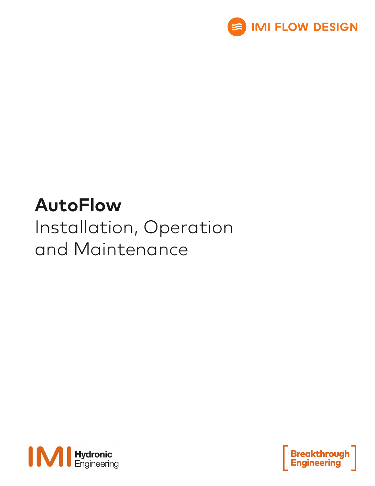

# **AutoFlow** Installation, Operation and Maintenance



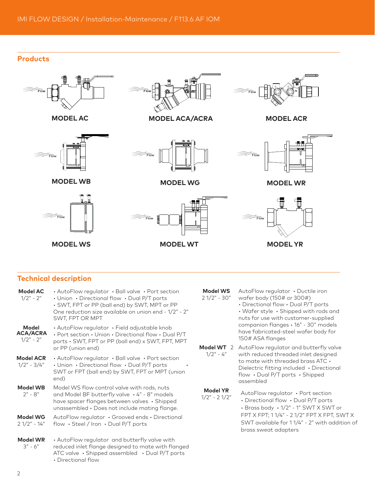# **Products**





**MODEL WB**





**MODEL AC MODEL ACA/ACRA**







**MODEL ACR**



**MODEL WG MODEL WR**



# **Technical description**

| Model AC<br>$1/2" - 2"$                 | $\cdot$ AutoFlow regulator $\cdot$ Ball valve $\cdot$ Port section<br>• Union • Directional flow • Dual P/T ports<br>• SWT, FPT or PP (ball end) by SWT, MPT or PP<br>One reduction size available on union end - 1/2" - 2"<br>SWT, FPT OR MPT |
|-----------------------------------------|------------------------------------------------------------------------------------------------------------------------------------------------------------------------------------------------------------------------------------------------|
| Model<br><b>ACA/ACRA</b><br>$1/2" - 2"$ | • AutoFlow regulator • Field adjustable knob<br>· Port section · Union · Directional flow · Dual P/T<br>ports · SWT, FPT or PP (ball end) x SWT, FPT, MPT<br>or PP (union end)                                                                 |
| <b>Model ACR</b><br>$1/2" - 3/4"$       | • AutoFlow regulator $\cdot$ Ball valve $\cdot$ Port section<br>• Union • Directional flow • Dual P/T ports<br>SWT or FPT (ball end) by SWT, FPT or MPT (union<br>end)                                                                         |
| <b>Model WB</b><br>$2" - 8"$            | Model WS flow control valve with rods, nuts<br>and Model BF butterfly valve · 4" - 8" models<br>have spacer flanges between valves · Shipped<br>unassembled · Does not include mating flange.                                                  |
| <b>Model WG</b><br>$21/2" - 14"$        | AutoFlow regulator . Grooved ends . Directional<br>flow $\cdot$ Steel / Iron $\cdot$ Dual P/T ports                                                                                                                                            |
| <b>Model WR</b><br>$3'' - 6''$          | • AutoFlow regulator and butterfly valve with<br>reduced inlet flange designed to mate with flanged<br>ATC valve · Shipped assembled · Dual P/T ports<br>• Directional flow                                                                    |

- **Model WS** 2 1/2" - 30"
- AutoFlow regulator Ductile iron wafer body (150# or 300#)
	- Directional flow Dual P/T ports

• Wafer style • Shipped with rods and nuts for use with customer-supplied companion flanges • 16" - 30" models have fabricated-steel wafer body for 150# ASA flanges

**Model WT** 2 AutoFlow regulator and butterfly valve  $1/2" - 4"$ with reduced threaded inlet designed to mate with threaded brass ATC • Dielectric fitting included • Directional flow • Dual P/T ports • Shipped assembled

```
Model YR
```
**Model YR** AutoFlow regulator • Port section  $1/2" - 2 \frac{1}{2}$ • Directional flow • Dual P/T ports • Brass body • 1/2" - 1" SWT X SWT or FPT X FPT; 1 1/4" - 2 1/2" FPT X FPT, SWT X SWT available for 1 1/4" - 2" with addition of brass sweat adapters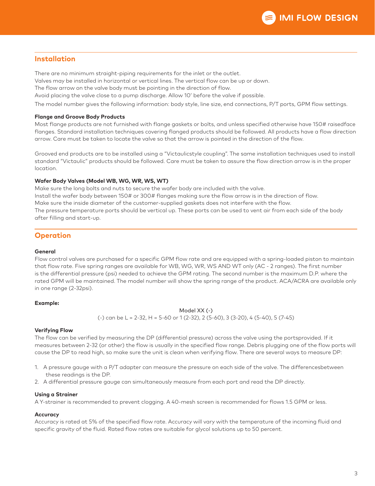### **Installation**

There are no minimum straight-piping requirements for the inlet or the outlet.

Valves may be installed in horizontal or vertical lines. The vertical flow can be up or down.

The flow arrow on the valve body must be pointing in the direction of flow.

Avoid placing the valve close to a pump discharge. Allow 10' before the valve if possible.

The model number gives the following information: body style, line size, end connections, P/T ports, GPM flow settings.

#### **Flange and Groove Body Products**

Most flange products are not furnished with flange gaskets or bolts, and unless specified otherwise have 150# raisedface flanges. Standard installation techniques covering flanged products should be followed. All products have a flow direction arrow. Care must be taken to locate the valve so that the arrow is pointed in the direction of the flow.

Grooved end products are to be installed using a "Victaulicstyle coupling". The same installation techniques used to install standard "Victaulic" products should be followed. Care must be taken to assure the flow direction arrow is in the proper location.

#### **Wafer Body Valves (Model WB, WG, WR, WS, WT)**

Make sure the long bolts and nuts to secure the wafer body are included with the valve. Install the wafer body between 150# or 300# flanges making sure the flow arrow is in the direction of flow. Make sure the inside diameter of the customer-supplied gaskets does not interfere with the flow. The pressure temperature ports should be vertical up. These ports can be used to vent air from each side of the body after filling and start-up.

# **Operation**

#### **General**

Flow control valves are purchased for a specific GPM flow rate and are equipped with a spring-loaded piston to maintain that flow rate. Five spring ranges are available for WB, WG, WR, WS AND WT only (AC - 2 ranges). The first number is the differential pressure (psi) needed to achieve the GPM rating. The second number is the maximum D.P. where the rated GPM will be maintained. The model number will show the spring range of the product. ACA/ACRA are available only in one range (2-32psi).

#### **Example:**

#### Model XX (-)

(-) can be L = 2-32, H = 5-60 or 1 (2-32), 2 (5-60), 3 (3-20), 4 (5-40), 5 (7-45)

#### **Verifying Flow**

The flow can be verified by measuring the DP (differential pressure) across the valve using the portsprovided. If it measures between 2-32 (or other) the flow is usually in the specified flow range. Debris plugging one of the flow ports will cause the DP to read high, so make sure the unit is clean when verifying flow. There are several ways to measure DP:

- 1. A pressure gauge with a P/T adapter can measure the pressure on each side of the valve. The differencesbetween these readings is the DP.
- 2. A differential pressure gauge can simultaneously measure from each port and read the DP directly.

#### **Using a Strainer**

A Y-strainer is recommended to prevent clogging. A 40-mesh screen is recommended for flows 1.5 GPM or less.

#### **Accuracy**

Accuracy is rated at 5% of the specified flow rate. Accuracy will vary with the temperature of the incoming fluid and specific gravity of the fluid. Rated flow rates are suitable for glycol solutions up to 50 percent.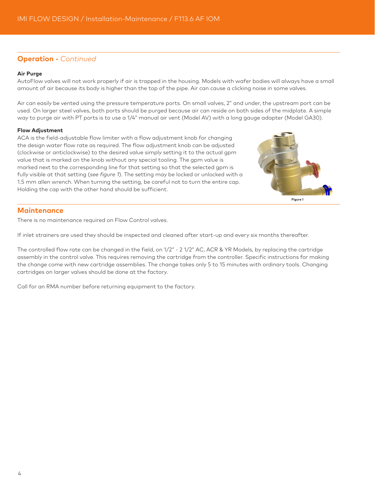## **Operation -** *Continued*

#### **Air Purge**

AutoFlow valves will not work properly if air is trapped in the housing. Models with wafer bodies will always have a small amount of air because its body is higher than the top of the pipe. Air can cause a clicking noise in some valves.

Air can easily be vented using the pressure temperature ports. On small valves, 2" and under, the upstream port can be used. On larger steel valves, both ports should be purged because air can reside on both sides of the midplate. A simple way to purge air with PT ports is to use a 1/4" manual air vent (Model AV) with a long gauge adapter (Model GA30).

#### **Flow Adjustment**

ACA is the field-adjustable flow limiter with a flow adjustment knob for changing the design water flow rate as required. The flow adjustment knob can be adjusted (clockwise or anticlockwise) to the desired value simply setting it to the actual gpm value that is marked on the knob without any special tooling. The gpm value is marked next to the corresponding line for that setting so that the selected gpm is fully visible at that setting (*see figure 1*). The setting may be locked or unlocked with a 1.5 mm allen wrench. When turning the setting, be careful not to turn the entire cap. Holding the cap with the other hand should be sufficient.



#### **Maintenance**

There is no maintenance required on Flow Control valves.

If inlet strainers are used they should be inspected and cleaned after start-up and every six months thereafter.

The controlled flow rate can be changed in the field, on 1/2" - 2 1/2" AC, ACR & YR Models, by replacing the cartridge assembly in the control valve. This requires removing the cartridge from the controller. Specific instructions for making the change come with new cartridge assemblies. The change takes only 5 to 15 minutes with ordinary tools. Changing cartridges on larger valves should be done at the factory.

Call for an RMA number before returning equipment to the factory.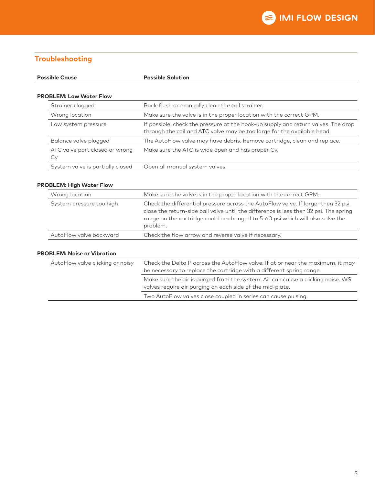# **Troubleshooting**

| <b>Possible Cause</b>                | <b>Possible Solution</b>                                                                                                                                                                                                                                                |
|--------------------------------------|-------------------------------------------------------------------------------------------------------------------------------------------------------------------------------------------------------------------------------------------------------------------------|
| <b>PROBLEM: Low Water Flow</b>       |                                                                                                                                                                                                                                                                         |
| Strainer clogged                     | Back-flush or manually clean the coil strainer.                                                                                                                                                                                                                         |
| Wrong location                       | Make sure the valve is in the proper location with the correct GPM.                                                                                                                                                                                                     |
| Low system pressure                  | If possible, check the pressure at the hook-up supply and return valves. The drop<br>through the coil and ATC valve may be too large for the available head.                                                                                                            |
| Balance valve plugged                | The AutoFlow valve may have debris. Remove cartridge, clean and replace.                                                                                                                                                                                                |
| ATC valve port closed or wrong<br>Cv | Make sure the ATC is wide open and has proper Cv.                                                                                                                                                                                                                       |
| System valve is partially closed     | Open all manual system valves.                                                                                                                                                                                                                                          |
| <b>PROBLEM: High Water Flow</b>      |                                                                                                                                                                                                                                                                         |
| Wrong location                       | Make sure the valve is in the proper location with the correct GPM.                                                                                                                                                                                                     |
| System pressure too high             | Check the differential pressure across the AutoFlow valve. If larger then 32 psi,<br>close the return-side ball valve until the difference is less then 32 psi. The spring<br>range on the cartridge could be changed to 5-60 psi which will also solve the<br>problem. |

| AutoFlow valve clicking or noisy | Check the Delta P across the AutoFlow valve. If at or near the maximum, it may<br>be necessary to replace the cartridge with a different spring range. |
|----------------------------------|--------------------------------------------------------------------------------------------------------------------------------------------------------|
|                                  | Make sure the air is purged from the system. Air can cause a clicking noise. WS<br>valves require air purging on each side of the mid-plate.           |
|                                  | Two AutoFlow valves close coupled in series can cause pulsing.                                                                                         |